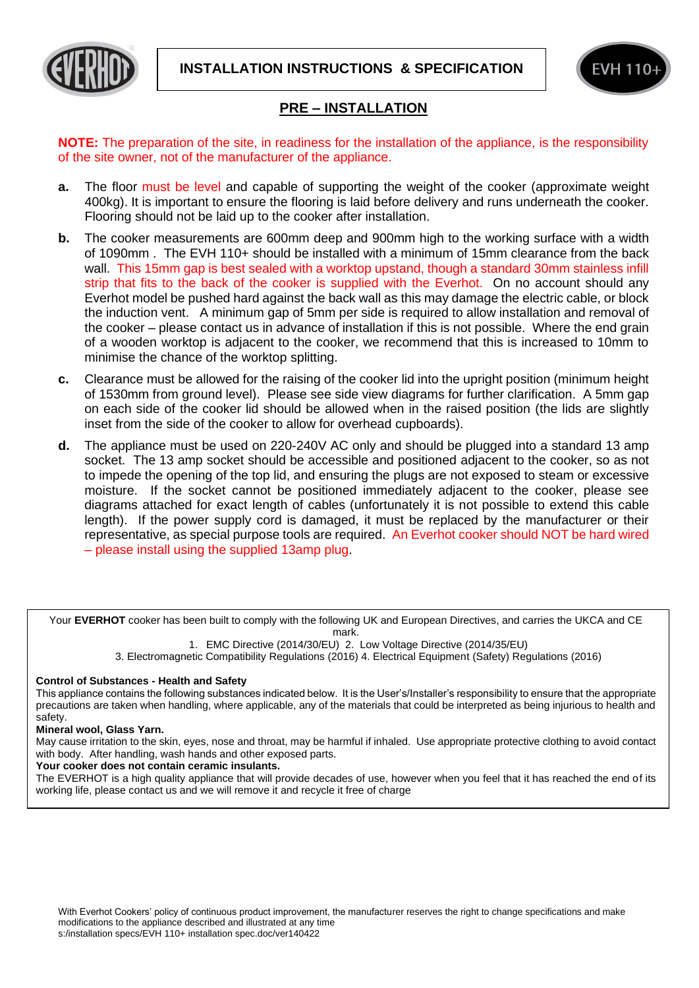



## **PRE – INSTALLATION**

**NOTE:** The preparation of the site, in readiness for the installation of the appliance, is the responsibility of the site owner, not of the manufacturer of the appliance.

- **a.** The floor must be level and capable of supporting the weight of the cooker (approximate weight 400kg). It is important to ensure the flooring is laid before delivery and runs underneath the cooker. Flooring should not be laid up to the cooker after installation.
- **b.** The cooker measurements are 600mm deep and 900mm high to the working surface with a width of 1090mm . The EVH 110+ should be installed with a minimum of 15mm clearance from the back wall. This 15mm gap is best sealed with a worktop upstand, though a standard 30mm stainless infill strip that fits to the back of the cooker is supplied with the Everhot. On no account should any Everhot model be pushed hard against the back wall as this may damage the electric cable, or block the induction vent. A minimum gap of 5mm per side is required to allow installation and removal of the cooker – please contact us in advance of installation if this is not possible. Where the end grain of a wooden worktop is adjacent to the cooker, we recommend that this is increased to 10mm to minimise the chance of the worktop splitting.
- **c.** Clearance must be allowed for the raising of the cooker lid into the upright position (minimum height of 1530mm from ground level). Please see side view diagrams for further clarification. A 5mm gap on each side of the cooker lid should be allowed when in the raised position (the lids are slightly inset from the side of the cooker to allow for overhead cupboards).
- **d.** The appliance must be used on 220-240V AC only and should be plugged into a standard 13 amp socket. The 13 amp socket should be accessible and positioned adjacent to the cooker, so as not to impede the opening of the top lid, and ensuring the plugs are not exposed to steam or excessive moisture. If the socket cannot be positioned immediately adjacent to the cooker, please see diagrams attached for exact length of cables (unfortunately it is not possible to extend this cable length). If the power supply cord is damaged, it must be replaced by the manufacturer or their representative, as special purpose tools are required. An Everhot cooker should NOT be hard wired – please install using the supplied 13amp plug.

Your **EVERHOT** cooker has been built to comply with the following UK and European Directives, and carries the UKCA and CE mark.

1. EMC Directive (2014/30/EU) 2. Low Voltage Directive (2014/35/EU)

3. Electromagnetic Compatibility Regulations (2016) 4. Electrical Equipment (Safety) Regulations (2016)

## **Control of Substances - Health and Safety**

This appliance contains the following substances indicated below. It is the User's/Installer's responsibility to ensure that the appropriate precautions are taken when handling, where applicable, any of the materials that could be interpreted as being injurious to health and safety.

## **Mineral wool, Glass Yarn.**

May cause irritation to the skin, eyes, nose and throat, may be harmful if inhaled. Use appropriate protective clothing to avoid contact with body. After handling, wash hands and other exposed parts.

## **Your cooker does not contain ceramic insulants.**

The EVERHOT is a high quality appliance that will provide decades of use, however when you feel that it has reached the end of its working life, please contact us and we will remove it and recycle it free of charge